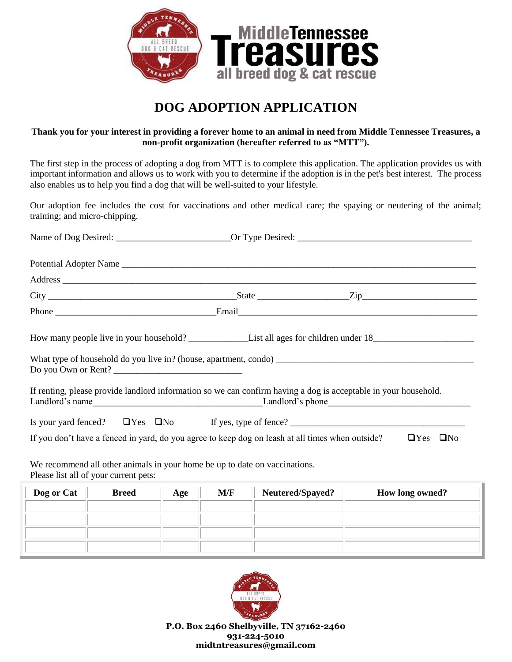

## **DOG ADOPTION APPLICATION**

## **Thank you for your interest in providing a forever home to an animal in need from Middle Tennessee Treasures, a non-profit organization (hereafter referred to as "MTT").**

The first step in the process of adopting a dog from MTT is to complete this application. The application provides us with important information and allows us to work with you to determine if the adoption is in the pet's best interest. The process also enables us to help you find a dog that will be well-suited to your lifestyle.

Our adoption fee includes the cost for vaccinations and other medical care; the spaying or neutering of the animal; training; and micro-chipping.

|                                       | Address experience and the contract of the contract of the contract of the contract of the contract of the contract of the contract of the contract of the contract of the contract of the contract of the contract of the con |                  |                         |  |
|---------------------------------------|--------------------------------------------------------------------------------------------------------------------------------------------------------------------------------------------------------------------------------|------------------|-------------------------|--|
|                                       |                                                                                                                                                                                                                                |                  |                         |  |
|                                       |                                                                                                                                                                                                                                |                  |                         |  |
|                                       |                                                                                                                                                                                                                                |                  |                         |  |
|                                       | Do you Own or Rent?                                                                                                                                                                                                            |                  |                         |  |
|                                       | If renting, please provide landlord information so we can confirm having a dog is acceptable in your household.                                                                                                                |                  |                         |  |
|                                       |                                                                                                                                                                                                                                |                  |                         |  |
|                                       | If you don't have a fenced in yard, do you agree to keep dog on leash at all times when outside?                                                                                                                               |                  | $\Box$ Yes<br>$\Box$ No |  |
| Please list all of your current pets: | We recommend all other animals in your home be up to date on vaccinations.                                                                                                                                                     |                  |                         |  |
| Dog or Cat   Breed   Age              | $\mathbf{M}/\mathbf{F}$                                                                                                                                                                                                        | Neutered/Spayed? | How long owned?         |  |

| Dog or Cat | <b>Breed</b> | Age | M/F | Neutered/Spayed? | <b>How long owned?</b> |
|------------|--------------|-----|-----|------------------|------------------------|
|            |              |     |     |                  |                        |
|            |              |     |     |                  |                        |
|            |              |     |     |                  |                        |
|            |              |     |     |                  |                        |



**P.O. Box 2460 Shelbyville, TN 37162-2460 931-224-5010 midtntreasures@gmail.com**